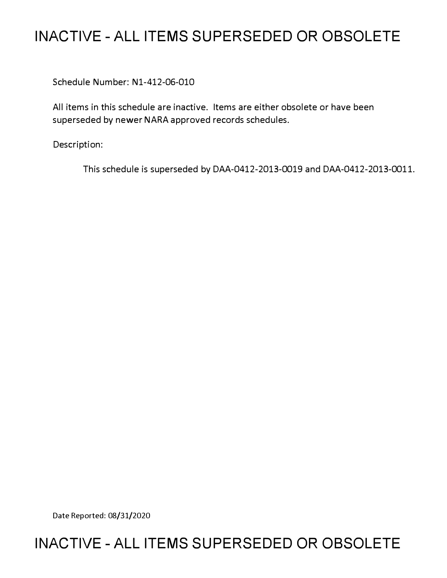## **INACTIVE - ALL ITEMS SUPERSEDED OR OBSOLETE**

Schedule Number: Nl-412-06-010

All items in this schedule are inactive. Items are either obsolete or have been superseded by newer NARA approved records schedules.

Description:

This schedule is superseded by DAA-0412-2013-0019 and DAA-0412-2013-0011.

Date Reported: 08/31/2020

### **INACTIVE - ALL ITEMS SUPERSEDED OR OBSOLETE**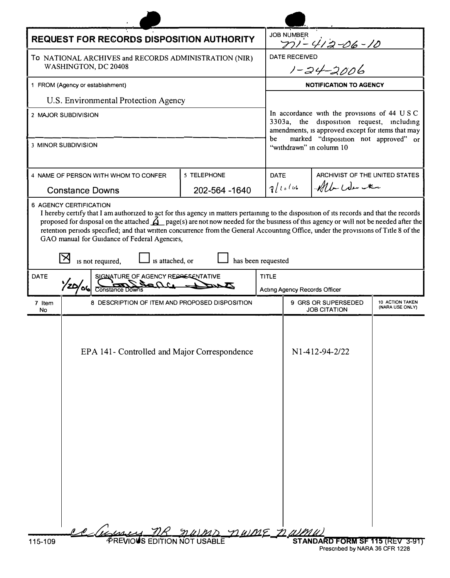| <b>REQUEST FOR RECORDS DISPOSITION AUTHORITY</b>                                                                                                                                                                                                                                                                                                                                                                                                                                                                                            |                                                |                                    |             | <b>JOB NUMBER</b><br><u>ni-412-06-10</u>                                                                                                                                                                                |                                                                   |                                    |
|---------------------------------------------------------------------------------------------------------------------------------------------------------------------------------------------------------------------------------------------------------------------------------------------------------------------------------------------------------------------------------------------------------------------------------------------------------------------------------------------------------------------------------------------|------------------------------------------------|------------------------------------|-------------|-------------------------------------------------------------------------------------------------------------------------------------------------------------------------------------------------------------------------|-------------------------------------------------------------------|------------------------------------|
| To NATIONAL ARCHIVES and RECORDS ADMINISTRATION (NIR)<br>WASHINGTON, DC 20408                                                                                                                                                                                                                                                                                                                                                                                                                                                               |                                                |                                    |             | RECEIVED<br><u>1-24-2006</u><br><b>DATE RECEIVED</b>                                                                                                                                                                    |                                                                   |                                    |
|                                                                                                                                                                                                                                                                                                                                                                                                                                                                                                                                             |                                                |                                    |             |                                                                                                                                                                                                                         |                                                                   |                                    |
| 1 FROM (Agency or establishment)                                                                                                                                                                                                                                                                                                                                                                                                                                                                                                            |                                                |                                    |             | <b>NOTIFICATION TO AGENCY</b>                                                                                                                                                                                           |                                                                   |                                    |
| U.S. Environmental Protection Agency                                                                                                                                                                                                                                                                                                                                                                                                                                                                                                        |                                                |                                    |             | In accordance with the provisions of 44 USC<br>3303a, the disposition request, including<br>amendments, is approved except for items that may<br>marked "disposition not approved" or<br>be<br>"withdrawn" in column 10 |                                                                   |                                    |
| 2 MAJOR SUBDIVISION                                                                                                                                                                                                                                                                                                                                                                                                                                                                                                                         |                                                |                                    |             |                                                                                                                                                                                                                         |                                                                   |                                    |
| 3 MINOR SUBDIVISION                                                                                                                                                                                                                                                                                                                                                                                                                                                                                                                         |                                                |                                    |             |                                                                                                                                                                                                                         |                                                                   |                                    |
| 5 TELEPHONE<br>4 NAME OF PERSON WITH WHOM TO CONFER                                                                                                                                                                                                                                                                                                                                                                                                                                                                                         |                                                |                                    | <b>DATE</b> |                                                                                                                                                                                                                         | ARCHIVIST OF THE UNITED STATES                                    |                                    |
| <b>Constance Downs</b>                                                                                                                                                                                                                                                                                                                                                                                                                                                                                                                      |                                                | 202-564 -1640                      | 7/10/44     |                                                                                                                                                                                                                         | Mb We ter                                                         |                                    |
| I hereby certify that I am authorized to act for this agency in matters pertaining to the disposition of its records and that the records<br>proposed for disposal on the attached $\Delta$ page(s) are not now needed for the business of this agency or will not be needed after the<br>retention periods specified; and that written concurrence from the General Accounting Office, under the provisions of Title 8 of the<br>GAO manual for Guidance of Federal Agencies,<br>has been requested<br>is not required,<br>is attached, or |                                                |                                    |             |                                                                                                                                                                                                                         |                                                                   |                                    |
| DATE                                                                                                                                                                                                                                                                                                                                                                                                                                                                                                                                        |                                                | SIGNATURE OF AGENCY REPASSENTATIVE |             | <b>TITLE</b>                                                                                                                                                                                                            |                                                                   |                                    |
|                                                                                                                                                                                                                                                                                                                                                                                                                                                                                                                                             | <b>Constance Downs</b>                         |                                    |             | Acting Agency Records Officer                                                                                                                                                                                           |                                                                   |                                    |
| 7 Item<br>No                                                                                                                                                                                                                                                                                                                                                                                                                                                                                                                                | 8 DESCRIPTION OF ITEM AND PROPOSED DISPOSITION |                                    |             | <b>9 GRS OR SUPERSEDED</b><br><b>JOB CITATION</b>                                                                                                                                                                       |                                                                   | 10 ACTION TAKEN<br>(NARA USE ONLY) |
|                                                                                                                                                                                                                                                                                                                                                                                                                                                                                                                                             | EPA 141- Controlled and Major Correspondence   | DUIME na                           |             |                                                                                                                                                                                                                         | N1-412-94-2/22                                                    |                                    |
| 115-109                                                                                                                                                                                                                                                                                                                                                                                                                                                                                                                                     | <b><i>PREVIOUS EDITION NOT USABLE</i></b>      |                                    |             |                                                                                                                                                                                                                         | STANDARD FORM SF 115 (REV<br><b>Droccribed by NADA 36 CED 122</b> |                                    |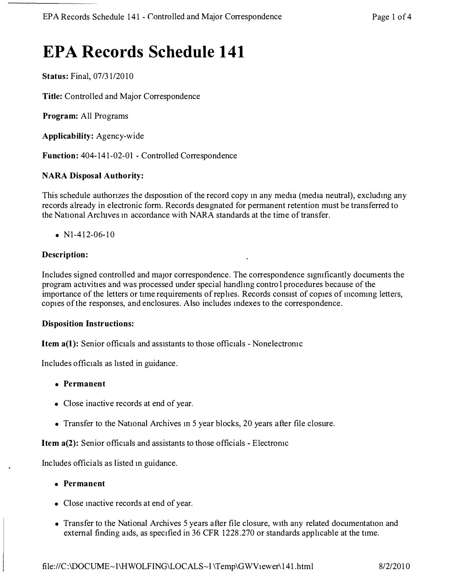# **EPA Records Schedule 141**

**Status:** Final, 07/31/2010

**Title:** Controlled and Major Correspondence

**Program:** All Programs

**Applicability:** Agency-wide

**Function:** 404-141-02-01 - Controlled Correspondence

#### **NARA Disposal Authority:**

This schedule authorizes the disposition of the record copy in any media (media neutral), excluding any records already in electronic form. Records designated for permanent retention must be transferred to the National Arcluves m accordance with NARA standards at the time of transfer.

•  $N1-412-06-10$ 

#### **Description:**

Includes signed controlled and major correspondence. The correspondence significantly documents the program activities and was processed under special handlmg control procedures because of the importance of the letters or time requirements of replies. Records consist of copies of incoming letters, copies of the responses, and enclosures. Also includes mdexes to the correspondence.

#### **Disposition Instructions:**

**Item a(1):** Senior officials and assistants to those officials - Nonelectronic

Includes officials as hsted in guidance.

- **Permanent**
- Close inactive records at end of year.
- Transfer to the National Archives in 5 year blocks, 20 years after file closure.

**Item a(2):** Senior officials and assistants to those officials - Electromc

Includes officials as listed m guidance.

- **Permanent**
- Close mactive records at end of year.
- Transfer to the National Archives 5 years after file closure, with any related documentation and external finding aids, as specified in 36 CFR 1228.270 or standards applicable at the time.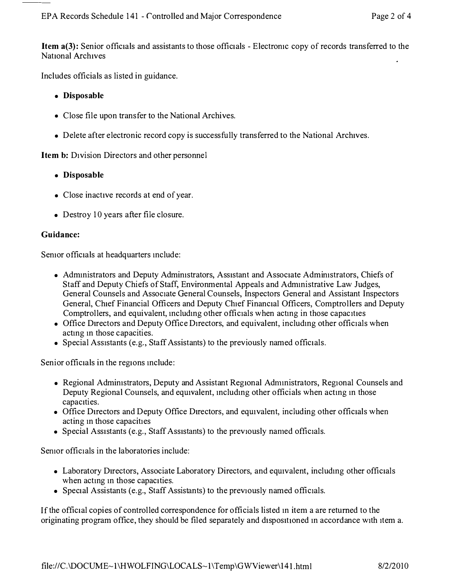**Item a(3):** Senior officials and assistants to those officials - Electronic copy of records transferred to the National Archives

Includes officials as listed in guidance.

- **Disposable**
- Close file upon transfer to the National Archives.
- Delete after electronic record copy is successfully transferred to the National Archives.

**Item b:** Division Directors and other personnel

- **Disposable**
- Close inactive records at end of year.
- Destroy 10 years after file closure.

#### **Guidance:**

Semor officials at headquarters mclude:

- Admmistrators and Deputy Admimstrators, Assistant and Associate Admimstrators, Chiefs of Staff and Deputy Chiefs of Staff, Environmental Appeals and Admmistrative Law Judges, General Counsels and Associate General Counsels, Inspectors General and Assistant Inspectors General, Chief Financial Officers and Deputy Chief Financial Officers, Comptrollers and Deputy Comptrollers, and equivalent, including other officials when acting in those capacities
- Office Directors and Deputy Office Directors, and equivalent, including other officials when acting in those capacities.
- Special Assistants (e.g., Staff Assistants) to the previously named officials.

Senior officials in the regions mclude:

- Regional Admimstrators, Deputy and Assistant Regional Admmistrators, Regional Counsels and Deputy Regional Counsels, and equivalent, including other officials when acting in those capacities.
- Office Directors and Deputy Office Directors, and equivalent, including other officials when acting m those capacities
- Special Assistants (e.g., Staff Assistants) to the previously named officials.

Semor officials in the laboratories include:

- Laboratory Directors, Associate Laboratory Directors, and equivalent, including other officials when acting in those capacities.
- Special Assistants (e.g., Staff Assistants) to the previously named officials.

If the official copies of controlled correspondence for officials listed m item a are returned to the originating program office, they should be filed separately and dispositioned in accordance with item a.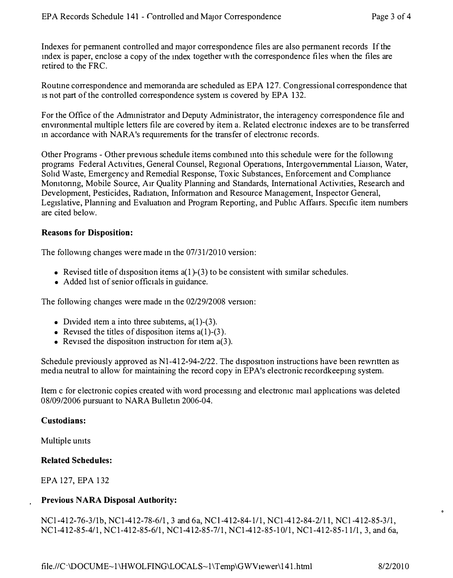Indexes for permanent controlled and major correspondence files are also permanent records If the mdex is paper, enclose a copy of the mdex together with the correspondence files when the files are retired to the FRC.

Routme correspondence and memoranda are scheduled as EPA 127. Congressional correspondence that is not part of the controlled correspondence system is covered by EPA 132.

For the Office of the Admmistrator and Deputy Administrator, the interagency correspondence file and environmental multiple letters file are covered by item a. Related electromc indexes are to be transferred in accordance with NARA's requirements for the transfer of electronic records.

Other Programs - Other previous schedule items combmed mto this schedule were for the followmg programs Federal Activities, General Counsel, Regional Operations, Intergovernmental Liaison, Water, Sohd Waste, Emergency and Remedial Response, Toxic Substances, Enforcement and Comphance Momtormg, Mobile Source, Air Quality Planning and Standards, International Activities, Research and Development, Pesticides, Radiation, Information and Resource Management, Inspector General, Legislative, Planning and Evaluation and Program Reporting, and Pubhc Affairs. Specific item numbers are cited below.

#### **Reasons for Disposition:**

The following changes were made in the 07/31/2010 version:

- Revised title of disposition items  $a(1)$ -(3) to be consistent with similar schedules.
- Added list of senior officials in guidance.

The following changes were made m the 02/29/2008 version:

- Divided item a into three subitems,  $a(1)$ -(3).
- Revised the titles of disposition items  $a(1)$ -(3).
- Revised the disposition instruction for item  $a(3)$ .

Schedule previously approved as Nl-412-94-2/22. The disposition instructions have been rewntten as media neutral to allow for maintaining the record copy in EP A's electronic recordkeepmg system.

Item c for electronic copies created with word processmg and electromc mail apphcations was deleted 08/09/2006 pursuant to NARA Bulletm 2006-04.

#### **Custodians:**

Multiple umts

#### **Related Schedules:**

EPA 127, EPA 132

### **Previous NARA Disposal Authority:**

NCl-412-76-3/1b, NCl-412-78-6/1, 3 and 6a, NCl-412-84-1/1, NCl-412-84-2/11, NCl-412-85-3/1, NCl-412-85-4/1, NCl-412-85-6/1, NCl-412-85-7/1, NCl-412-85-10/1, NCl-412-85-11/1, 3, and 6a,

 $file://C\cdot\text{DOC} \cup \text{HE~-1} \setminus HWOLFING\cup CALS~1 \setminus Temp\setminus GWV \cdot t \cdot \text{Newer} \setminus 141.html$  8/2/2010

 $\bullet$